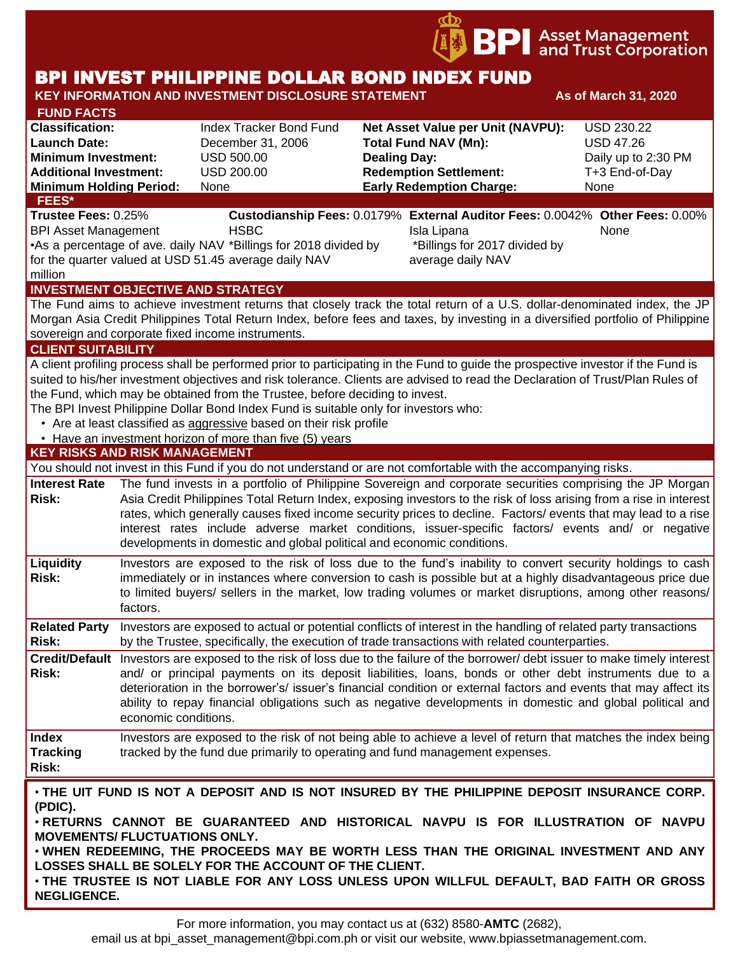

# BPI INVEST PHILIPPINE DOLLAR BOND INDEX FUND

**KEY INFORMATION AND INVESTMENT DISCLOSURE STATEMENT As of March 31, 2020** 

# **FUND FACTS Classification:** Index Tracker Bond Fund **Net Asset Value per Unit (NAVPU):** USD 230.22 **Launch Date:** December 31, 2006 **Total Fund NAV (Mn):** USD 47.26 **Minimum Investment:** USD 500.00 **Dealing Day:** Dealing Day: Daily up to 2:30 PM **Additional Investment:** USD 200.00 **Redemption Settlement:** T+3 End-of-Day **Minimum Holding Period:** None **Early Redemption Charge:** None **FEES\* Trustee Fees:** 0.25% **Custodianship Fees:** 0.0179% **External Auditor Fees:** 0.0042% **Other Fees:** 0.00% BPI Asset Management **HSBC Isla Lipana** Isla Lipana None

•As a percentage of ave. daily NAV \*Billings for 2018 divided by for the quarter valued at USD 51.45 average daily NAV million

\*Billings for 2017 divided by average daily NAV

**INVESTMENT OBJECTIVE AND STRATEGY**

The Fund aims to achieve investment returns that closely track the total return of a U.S. dollar-denominated index, the JP Morgan Asia Credit Philippines Total Return Index, before fees and taxes, by investing in a diversified portfolio of Philippine sovereign and corporate fixed income instruments.

#### **CLIENT SUITABILITY**

A client profiling process shall be performed prior to participating in the Fund to guide the prospective investor if the Fund is suited to his/her investment objectives and risk tolerance. Clients are advised to read the Declaration of Trust/Plan Rules of the Fund, which may be obtained from the Trustee, before deciding to invest.

The BPI Invest Philippine Dollar Bond Index Fund is suitable only for investors who:

- Are at least classified as aggressive based on their risk profile
- Have an investment horizon of more than five (5) years

## **KEY RISKS AND RISK MANAGEMENT**

You should not invest in this Fund if you do not understand or are not comfortable with the accompanying risks. **Interest Rate**  The fund invests in a portfolio of Philippine Sovereign and corporate securities comprising the JP Morgan **Risk:** Asia Credit Philippines Total Return Index, exposing investors to the risk of loss arising from a rise in interest rates, which generally causes fixed income security prices to decline. Factors/ events that may lead to a rise interest rates include adverse market conditions, issuer-specific factors/ events and/ or negative developments in domestic and global political and economic conditions.

**Liquidity Risk:** Investors are exposed to the risk of loss due to the fund's inability to convert security holdings to cash immediately or in instances where conversion to cash is possible but at a highly disadvantageous price due to limited buyers/ sellers in the market, low trading volumes or market disruptions, among other reasons/ factors.

**Related Party**  Investors are exposed to actual or potential conflicts of interest in the handling of related party transactions **Risk:** by the Trustee, specifically, the execution of trade transactions with related counterparties.

**Credit/Default**  Investors are exposed to the risk of loss due to the failure of the borrower/ debt issuer to make timely interest **Risk:** and/ or principal payments on its deposit liabilities, loans, bonds or other debt instruments due to a deterioration in the borrower's/ issuer's financial condition or external factors and events that may affect its ability to repay financial obligations such as negative developments in domestic and global political and economic conditions.

**Index Tracking Risk:** Investors are exposed to the risk of not being able to achieve a level of return that matches the index being tracked by the fund due primarily to operating and fund management expenses.

• **THE UIT FUND IS NOT A DEPOSIT AND IS NOT INSURED BY THE PHILIPPINE DEPOSIT INSURANCE CORP. (PDIC).**

• **RETURNS CANNOT BE GUARANTEED AND HISTORICAL NAVPU IS FOR ILLUSTRATION OF NAVPU MOVEMENTS/ FLUCTUATIONS ONLY.**

• **WHEN REDEEMING, THE PROCEEDS MAY BE WORTH LESS THAN THE ORIGINAL INVESTMENT AND ANY LOSSES SHALL BE SOLELY FOR THE ACCOUNT OF THE CLIENT.**

• **THE TRUSTEE IS NOT LIABLE FOR ANY LOSS UNLESS UPON WILLFUL DEFAULT, BAD FAITH OR GROSS NEGLIGENCE.**

email us at bpi asset management@bpi.com.ph or visit our website, www.bpiassetmanagement.com.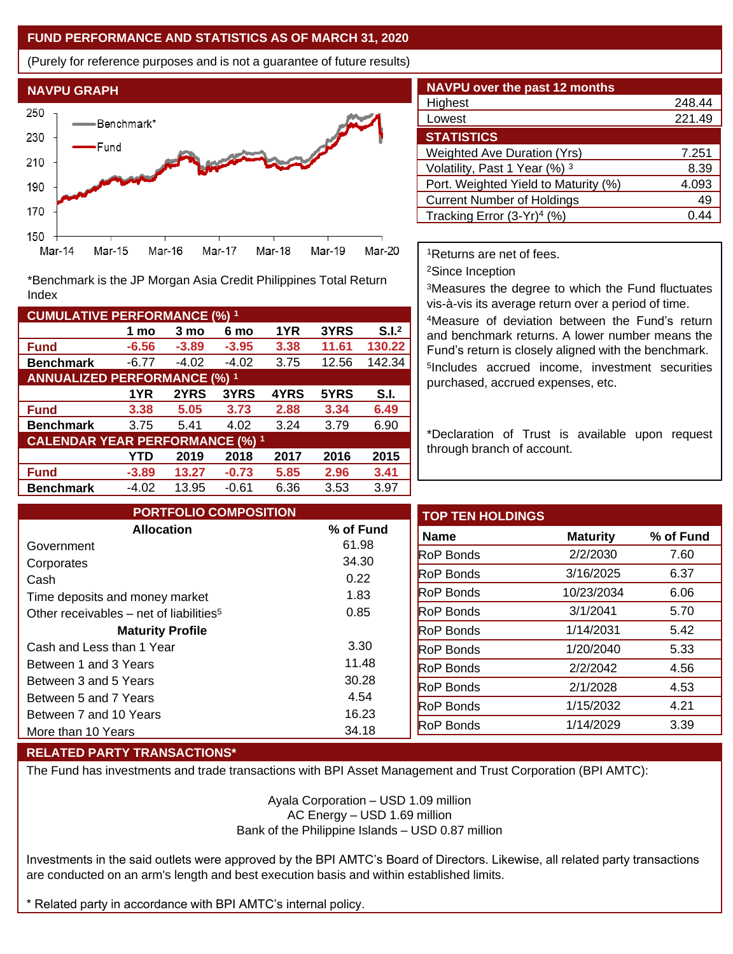## **FUND PERFORMANCE AND STATISTICS AS OF MARCH 31, 2020**

(Purely for reference purposes and is not a guarantee of future results)



**Fund -6.56 -3.89 -3.95 3.38 11.61 130.22 Benchmark** -6.77 -4.02 -4.02 3.75 12.56 142.34

\*Benchmark is the JP Morgan Asia Credit Philippines Total Return

**Fund 3.38 5.05 3.73 2.88 3.34 6.49 Benchmark** 3.75 5.41 4.02 3.24 3.79 6.90

**Fund -3.89 13.27 -0.73 5.85 2.96 3.41 Benchmark** -4.02 13.95 -0.61 6.36 3.53 3.97

**1 mo 3 mo 6 mo 1YR 3YRS S.I.<sup>2</sup>**

**1YR 2YRS 3YRS 4YRS 5YRS S.I.**

**YTD 2019 2018 2017 2016 2015**

| NAVPU over the past 12 months          |        |
|----------------------------------------|--------|
| Highest                                | 248.44 |
| Lowest                                 | 221.49 |
| <b>STATISTICS</b>                      |        |
| <b>Weighted Ave Duration (Yrs)</b>     | 7.251  |
| Volatility, Past 1 Year (%) 3          | 8.39   |
| Port. Weighted Yield to Maturity (%)   | 4.093  |
| <b>Current Number of Holdings</b>      | 49     |
| Tracking Error (3-Yr) <sup>4</sup> (%) | 44     |

<sup>1</sup>Returns are net of fees.

<sup>2</sup>Since Inception

<sup>3</sup>Measures the degree to which the Fund fluctuates vis-à-vis its average return over a period of time.

<sup>4</sup>Measure of deviation between the Fund's return and benchmark returns. A lower number means the Fund's return is closely aligned with the benchmark. 5 Includes accrued income, investment securities purchased, accrued expenses, etc.

\*Declaration of Trust is available upon request through branch of account.

| <b>PORTFOLIO COMPOSITION</b>                        |           | <b>TOP TEN HOLDINGS</b> |                 |           |
|-----------------------------------------------------|-----------|-------------------------|-----------------|-----------|
| <b>Allocation</b>                                   | % of Fund | <b>Name</b>             | <b>Maturity</b> | % of Fund |
| Government                                          | 61.98     | <b>RoP Bonds</b>        | 2/2/2030        | 7.60      |
| Corporates                                          | 34.30     |                         |                 |           |
| Cash                                                | 0.22      | <b>RoP Bonds</b>        | 3/16/2025       | 6.37      |
| Time deposits and money market                      | 1.83      | <b>RoP</b> Bonds        | 10/23/2034      | 6.06      |
| Other receivables – net of liabilities <sup>5</sup> | 0.85      | <b>RoP Bonds</b>        | 3/1/2041        | 5.70      |
| <b>Maturity Profile</b>                             |           | <b>RoP Bonds</b>        | 1/14/2031       | 5.42      |
| Cash and Less than 1 Year                           | 3.30      | <b>RoP Bonds</b>        | 1/20/2040       | 5.33      |
| Between 1 and 3 Years                               | 11.48     | <b>RoP Bonds</b>        | 2/2/2042        | 4.56      |
| Between 3 and 5 Years                               | 30.28     | <b>RoP Bonds</b>        | 2/1/2028        | 4.53      |
| Between 5 and 7 Years                               | 4.54      | <b>RoP Bonds</b>        | 1/15/2032       | 4.21      |
| Between 7 and 10 Years                              | 16.23     |                         |                 |           |
| More than 10 Years                                  | 34.18     | RoP Bonds               | 1/14/2029       | 3.39      |

# **RELATED PARTY TRANSACTIONS\***

**CUMULATIVE PERFORMANCE (%) <sup>1</sup>**

Index

**ANNUALIZED PERFORMANCE (%) <sup>1</sup>**

**CALENDAR YEAR PERFORMANCE (%) <sup>1</sup>**

The Fund has investments and trade transactions with BPI Asset Management and Trust Corporation (BPI AMTC):

Ayala Corporation – USD 1.09 million AC Energy – USD 1.69 million Bank of the Philippine Islands – USD 0.87 million

Investments in the said outlets were approved by the BPI AMTC's Board of Directors. Likewise, all related party transactions are conducted on an arm's length and best execution basis and within established limits.

\* Related party in accordance with BPI AMTC's internal policy.